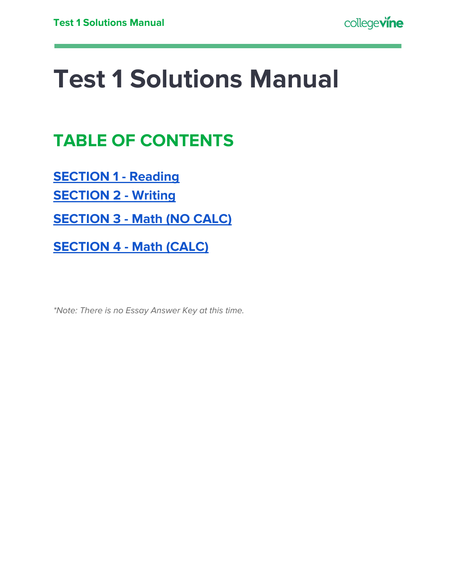## **Test 1 Solutions Manual**

## **TABLE OF CONTENTS**

**[SECTION](#page-1-0) 1 - Reading**

**[SECTION](#page-17-0) 2 - Writing**

**[SECTION](#page-28-0) 3 - Math (NO CALC)**

**[SECTION](#page-32-0) 4 - Math (CALC)**

\*Note: There is no Essay Answer Key at this time.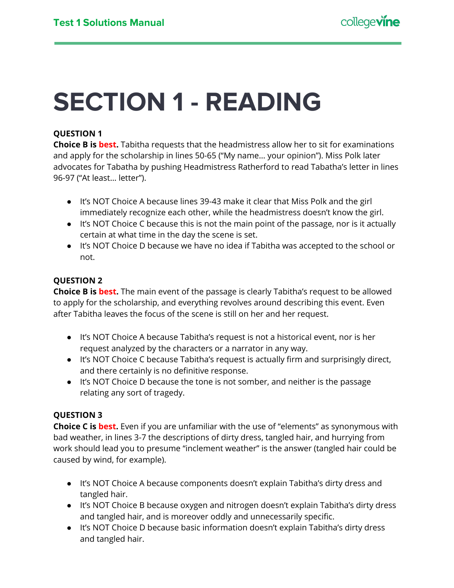## <span id="page-1-0"></span>**SECTION 1 - READING**

## **QUESTION 1**

**Choice B is best.** Tabitha requests that the headmistress allow her to sit for examinations and apply for the scholarship in lines 50-65 ("My name… your opinion"). Miss Polk later advocates for Tabatha by pushing Headmistress Ratherford to read Tabatha's letter in lines 96-97 ("At least… letter").

- It's NOT Choice A because lines 39-43 make it clear that Miss Polk and the girl immediately recognize each other, while the headmistress doesn't know the girl.
- It's NOT Choice C because this is not the main point of the passage, nor is it actually certain at what time in the day the scene is set.
- It's NOT Choice D because we have no idea if Tabitha was accepted to the school or not.

## **QUESTION 2**

**Choice B is best.** The main event of the passage is clearly Tabitha's request to be allowed to apply for the scholarship, and everything revolves around describing this event. Even after Tabitha leaves the focus of the scene is still on her and her request.

- It's NOT Choice A because Tabitha's request is not a historical event, nor is her request analyzed by the characters or a narrator in any way.
- It's NOT Choice C because Tabitha's request is actually firm and surprisingly direct, and there certainly is no definitive response.
- It's NOT Choice D because the tone is not somber, and neither is the passage relating any sort of tragedy.

## **QUESTION 3**

**Choice C is best.** Even if you are unfamiliar with the use of "elements" as synonymous with bad weather, in lines 3-7 the descriptions of dirty dress, tangled hair, and hurrying from work should lead you to presume "inclement weather" is the answer (tangled hair could be caused by wind, for example).

- It's NOT Choice A because components doesn't explain Tabitha's dirty dress and tangled hair.
- It's NOT Choice B because oxygen and nitrogen doesn't explain Tabitha's dirty dress and tangled hair, and is moreover oddly and unnecessarily specific.
- It's NOT Choice D because basic information doesn't explain Tabitha's dirty dress and tangled hair.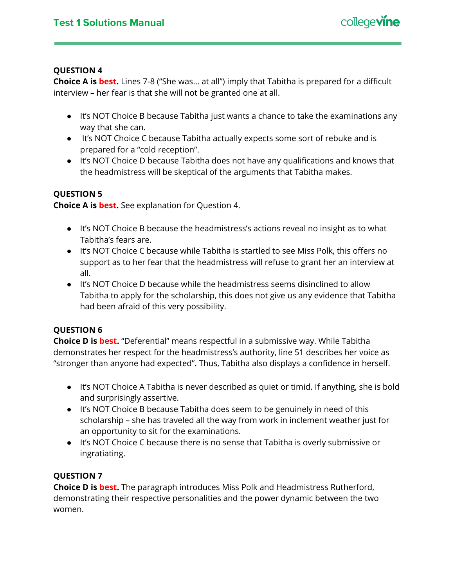

**Choice A is best.** Lines 7-8 ("She was… at all") imply that Tabitha is prepared for a difficult interview – her fear is that she will not be granted one at all.

- It's NOT Choice B because Tabitha just wants a chance to take the examinations any way that she can.
- It's NOT Choice C because Tabitha actually expects some sort of rebuke and is prepared for a "cold reception".
- It's NOT Choice D because Tabitha does not have any qualifications and knows that the headmistress will be skeptical of the arguments that Tabitha makes.

## **QUESTION 5**

**Choice A is best.** See explanation for Question 4.

- It's NOT Choice B because the headmistress's actions reveal no insight as to what Tabitha's fears are.
- It's NOT Choice C because while Tabitha is startled to see Miss Polk, this offers no support as to her fear that the headmistress will refuse to grant her an interview at all.
- It's NOT Choice D because while the headmistress seems disinclined to allow Tabitha to apply for the scholarship, this does not give us any evidence that Tabitha had been afraid of this very possibility.

## **QUESTION 6**

**Choice D is best.** "Deferential" means respectful in a submissive way. While Tabitha demonstrates her respect for the headmistress's authority, line 51 describes her voice as "stronger than anyone had expected". Thus, Tabitha also displays a confidence in herself.

- It's NOT Choice A Tabitha is never described as quiet or timid. If anything, she is bold and surprisingly assertive.
- It's NOT Choice B because Tabitha does seem to be genuinely in need of this scholarship – she has traveled all the way from work in inclement weather just for an opportunity to sit for the examinations.
- It's NOT Choice C because there is no sense that Tabitha is overly submissive or ingratiating.

## **QUESTION 7**

**Choice D is best.** The paragraph introduces Miss Polk and Headmistress Rutherford, demonstrating their respective personalities and the power dynamic between the two women.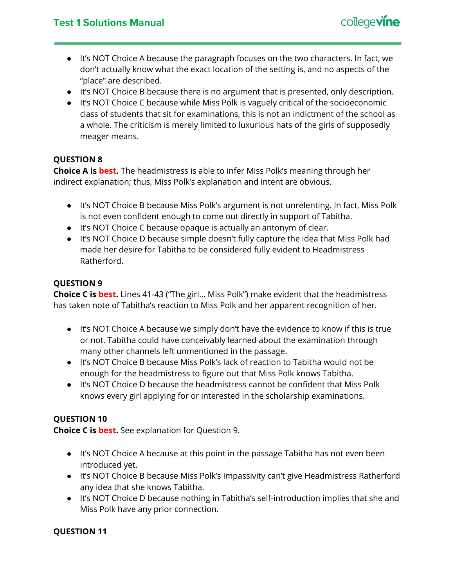

- It's NOT Choice A because the paragraph focuses on the two characters. In fact, we don't actually know what the exact location of the setting is, and no aspects of the "place" are described.
- It's NOT Choice B because there is no argument that is presented, only description.
- It's NOT Choice C because while Miss Polk is vaguely critical of the socioeconomic class of students that sit for examinations, this is not an indictment of the school as a whole. The criticism is merely limited to luxurious hats of the girls of supposedly meager means.

**Choice A is best.** The headmistress is able to infer Miss Polk's meaning through her indirect explanation; thus, Miss Polk's explanation and intent are obvious.

- It's NOT Choice B because Miss Polk's argument is not unrelenting. In fact, Miss Polk is not even confident enough to come out directly in support of Tabitha.
- It's NOT Choice C because opaque is actually an antonym of clear.
- It's NOT Choice D because simple doesn't fully capture the idea that Miss Polk had made her desire for Tabitha to be considered fully evident to Headmistress Ratherford.

## **QUESTION 9**

**Choice C is best.** Lines 41-43 ("The girl… Miss Polk") make evident that the headmistress has taken note of Tabitha's reaction to Miss Polk and her apparent recognition of her.

- It's NOT Choice A because we simply don't have the evidence to know if this is true or not. Tabitha could have conceivably learned about the examination through many other channels left unmentioned in the passage.
- It's NOT Choice B because Miss Polk's lack of reaction to Tabitha would not be enough for the headmistress to figure out that Miss Polk knows Tabitha.
- It's NOT Choice D because the headmistress cannot be confident that Miss Polk knows every girl applying for or interested in the scholarship examinations.

## **QUESTION 10**

**Choice C is best.** See explanation for Question 9.

- It's NOT Choice A because at this point in the passage Tabitha has not even been introduced yet.
- It's NOT Choice B because Miss Polk's impassivity can't give Headmistress Ratherford any idea that she knows Tabitha.
- It's NOT Choice D because nothing in Tabitha's self-introduction implies that she and Miss Polk have any prior connection.

## **QUESTION 11**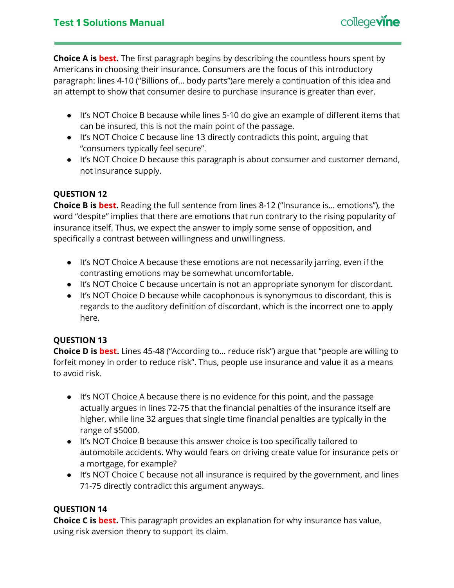

**Choice A is best.** The first paragraph begins by describing the countless hours spent by Americans in choosing their insurance. Consumers are the focus of this introductory paragraph: lines 4-10 ("Billions of… body parts")are merely a continuation of this idea and an attempt to show that consumer desire to purchase insurance is greater than ever.

- It's NOT Choice B because while lines 5-10 do give an example of different items that can be insured, this is not the main point of the passage.
- It's NOT Choice C because line 13 directly contradicts this point, arguing that "consumers typically feel secure".
- It's NOT Choice D because this paragraph is about consumer and customer demand, not insurance supply.

## **QUESTION 12**

**Choice B is best.** Reading the full sentence from lines 8-12 ("Insurance is… emotions"), the word "despite" implies that there are emotions that run contrary to the rising popularity of insurance itself. Thus, we expect the answer to imply some sense of opposition, and specifically a contrast between willingness and unwillingness.

- It's NOT Choice A because these emotions are not necessarily jarring, even if the contrasting emotions may be somewhat uncomfortable.
- It's NOT Choice C because uncertain is not an appropriate synonym for discordant.
- It's NOT Choice D because while cacophonous is synonymous to discordant, this is regards to the auditory definition of discordant, which is the incorrect one to apply here.

## **QUESTION 13**

**Choice D is best.** Lines 45-48 ("According to… reduce risk") argue that "people are willing to forfeit money in order to reduce risk". Thus, people use insurance and value it as a means to avoid risk.

- It's NOT Choice A because there is no evidence for this point, and the passage actually argues in lines 72-75 that the financial penalties of the insurance itself are higher, while line 32 argues that single time financial penalties are typically in the range of \$5000.
- It's NOT Choice B because this answer choice is too specifically tailored to automobile accidents. Why would fears on driving create value for insurance pets or a mortgage, for example?
- It's NOT Choice C because not all insurance is required by the government, and lines 71-75 directly contradict this argument anyways.

## **QUESTION 14**

**Choice C is best.** This paragraph provides an explanation for why insurance has value, using risk aversion theory to support its claim.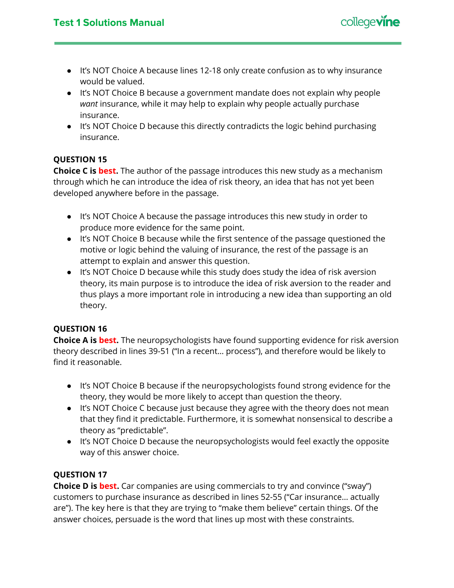

- It's NOT Choice A because lines 12-18 only create confusion as to why insurance would be valued.
- It's NOT Choice B because a government mandate does not explain why people *want* insurance, while it may help to explain why people actually purchase insurance.
- It's NOT Choice D because this directly contradicts the logic behind purchasing insurance.

**Choice C is best.** The author of the passage introduces this new study as a mechanism through which he can introduce the idea of risk theory, an idea that has not yet been developed anywhere before in the passage.

- It's NOT Choice A because the passage introduces this new study in order to produce more evidence for the same point.
- It's NOT Choice B because while the first sentence of the passage questioned the motive or logic behind the valuing of insurance, the rest of the passage is an attempt to explain and answer this question.
- It's NOT Choice D because while this study does study the idea of risk aversion theory, its main purpose is to introduce the idea of risk aversion to the reader and thus plays a more important role in introducing a new idea than supporting an old theory.

## **QUESTION 16**

**Choice A is best.** The neuropsychologists have found supporting evidence for risk aversion theory described in lines 39-51 ("In a recent… process"), and therefore would be likely to find it reasonable.

- It's NOT Choice B because if the neuropsychologists found strong evidence for the theory, they would be more likely to accept than question the theory.
- It's NOT Choice C because just because they agree with the theory does not mean that they find it predictable. Furthermore, it is somewhat nonsensical to describe a theory as "predictable".
- It's NOT Choice D because the neuropsychologists would feel exactly the opposite way of this answer choice.

## **QUESTION 17**

**Choice D is best.** Car companies are using commercials to try and convince ("sway") customers to purchase insurance as described in lines 52-55 ("Car insurance… actually are"). The key here is that they are trying to "make them believe" certain things. Of the answer choices, persuade is the word that lines up most with these constraints.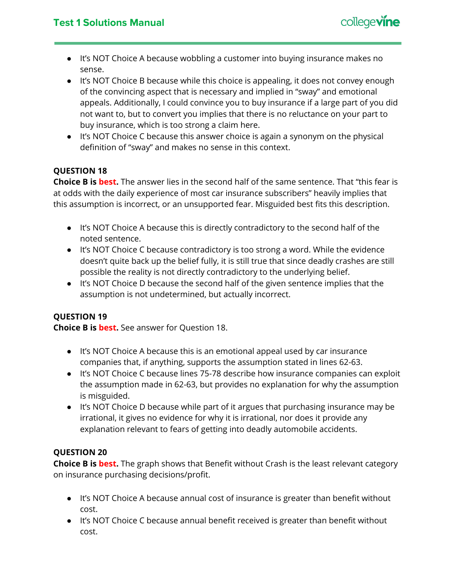

- It's NOT Choice A because wobbling a customer into buying insurance makes no sense.
- It's NOT Choice B because while this choice is appealing, it does not convey enough of the convincing aspect that is necessary and implied in "sway" and emotional appeals. Additionally, I could convince you to buy insurance if a large part of you did not want to, but to convert you implies that there is no reluctance on your part to buy insurance, which is too strong a claim here.
- It's NOT Choice C because this answer choice is again a synonym on the physical definition of "sway" and makes no sense in this context.

**Choice B is best.** The answer lies in the second half of the same sentence. That "this fear is at odds with the daily experience of most car insurance subscribers" heavily implies that this assumption is incorrect, or an unsupported fear. Misguided best fits this description.

- It's NOT Choice A because this is directly contradictory to the second half of the noted sentence.
- It's NOT Choice C because contradictory is too strong a word. While the evidence doesn't quite back up the belief fully, it is still true that since deadly crashes are still possible the reality is not directly contradictory to the underlying belief.
- It's NOT Choice D because the second half of the given sentence implies that the assumption is not undetermined, but actually incorrect.

## **QUESTION 19**

**Choice B is best.** See answer for Question 18.

- It's NOT Choice A because this is an emotional appeal used by car insurance companies that, if anything, supports the assumption stated in lines 62-63.
- It's NOT Choice C because lines 75-78 describe how insurance companies can exploit the assumption made in 62-63, but provides no explanation for why the assumption is misguided.
- It's NOT Choice D because while part of it argues that purchasing insurance may be irrational, it gives no evidence for why it is irrational, nor does it provide any explanation relevant to fears of getting into deadly automobile accidents.

## **QUESTION 20**

**Choice B is best.** The graph shows that Benefit without Crash is the least relevant category on insurance purchasing decisions/profit.

- It's NOT Choice A because annual cost of insurance is greater than benefit without cost.
- It's NOT Choice C because annual benefit received is greater than benefit without cost.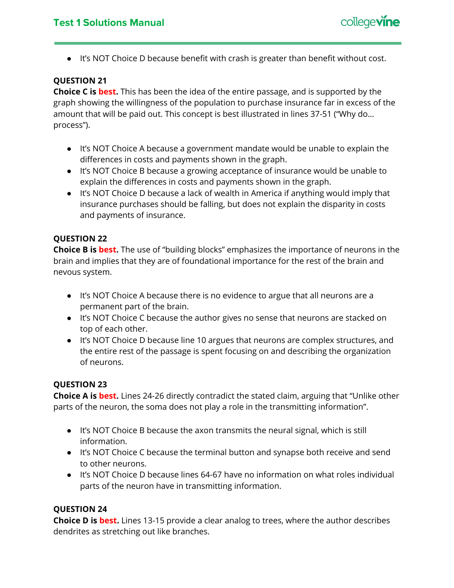## **Test 1 Solutions Manual**



● It's NOT Choice D because benefit with crash is greater than benefit without cost.

## **QUESTION 21**

**Choice C is best.** This has been the idea of the entire passage, and is supported by the graph showing the willingness of the population to purchase insurance far in excess of the amount that will be paid out. This concept is best illustrated in lines 37-51 ("Why do… process").

- It's NOT Choice A because a government mandate would be unable to explain the differences in costs and payments shown in the graph.
- It's NOT Choice B because a growing acceptance of insurance would be unable to explain the differences in costs and payments shown in the graph.
- It's NOT Choice D because a lack of wealth in America if anything would imply that insurance purchases should be falling, but does not explain the disparity in costs and payments of insurance.

## **QUESTION 22**

**Choice B is best.** The use of "building blocks" emphasizes the importance of neurons in the brain and implies that they are of foundational importance for the rest of the brain and nevous system.

- It's NOT Choice A because there is no evidence to argue that all neurons are a permanent part of the brain.
- It's NOT Choice C because the author gives no sense that neurons are stacked on top of each other.
- It's NOT Choice D because line 10 argues that neurons are complex structures, and the entire rest of the passage is spent focusing on and describing the organization of neurons.

## **QUESTION 23**

**Choice A is best.** Lines 24-26 directly contradict the stated claim, arguing that "Unlike other parts of the neuron, the soma does not play a role in the transmitting information".

- It's NOT Choice B because the axon transmits the neural signal, which is still information.
- It's NOT Choice C because the terminal button and synapse both receive and send to other neurons.
- It's NOT Choice D because lines 64-67 have no information on what roles individual parts of the neuron have in transmitting information.

## **QUESTION 24**

**Choice D is best.** Lines 13-15 provide a clear analog to trees, where the author describes dendrites as stretching out like branches.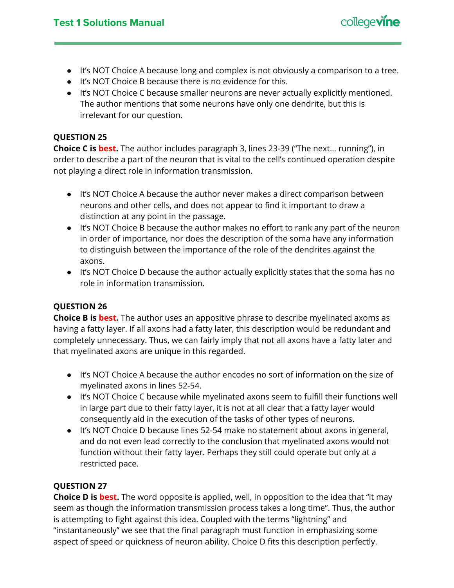

- It's NOT Choice A because long and complex is not obviously a comparison to a tree.
- It's NOT Choice B because there is no evidence for this.
- It's NOT Choice C because smaller neurons are never actually explicitly mentioned. The author mentions that some neurons have only one dendrite, but this is irrelevant for our question.

**Choice C is best.** The author includes paragraph 3, lines 23-39 ("The next… running"), in order to describe a part of the neuron that is vital to the cell's continued operation despite not playing a direct role in information transmission.

- It's NOT Choice A because the author never makes a direct comparison between neurons and other cells, and does not appear to find it important to draw a distinction at any point in the passage.
- It's NOT Choice B because the author makes no effort to rank any part of the neuron in order of importance, nor does the description of the soma have any information to distinguish between the importance of the role of the dendrites against the axons.
- It's NOT Choice D because the author actually explicitly states that the soma has no role in information transmission.

## **QUESTION 26**

**Choice B is best.** The author uses an appositive phrase to describe myelinated axoms as having a fatty layer. If all axons had a fatty later, this description would be redundant and completely unnecessary. Thus, we can fairly imply that not all axons have a fatty later and that myelinated axons are unique in this regarded.

- It's NOT Choice A because the author encodes no sort of information on the size of myelinated axons in lines 52-54.
- It's NOT Choice C because while myelinated axons seem to fulfill their functions well in large part due to their fatty layer, it is not at all clear that a fatty layer would consequently aid in the execution of the tasks of other types of neurons.
- It's NOT Choice D because lines 52-54 make no statement about axons in general, and do not even lead correctly to the conclusion that myelinated axons would not function without their fatty layer. Perhaps they still could operate but only at a restricted pace.

## **QUESTION 27**

**Choice D is best.** The word opposite is applied, well, in opposition to the idea that "it may seem as though the information transmission process takes a long time". Thus, the author is attempting to fight against this idea. Coupled with the terms "lightning" and "instantaneously" we see that the final paragraph must function in emphasizing some aspect of speed or quickness of neuron ability. Choice D fits this description perfectly.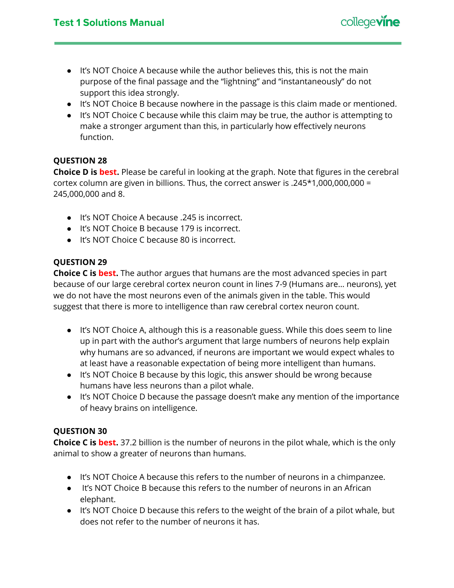

- $\bullet$  It's NOT Choice A because while the author believes this, this is not the main purpose of the final passage and the "lightning" and "instantaneously" do not support this idea strongly.
- It's NOT Choice B because nowhere in the passage is this claim made or mentioned.
- It's NOT Choice C because while this claim may be true, the author is attempting to make a stronger argument than this, in particularly how effectively neurons function.

**Choice D is best.** Please be careful in looking at the graph. Note that figures in the cerebral cortex column are given in billions. Thus, the correct answer is .245\*1,000,000,000 = 245,000,000 and 8.

- It's NOT Choice A because .245 is incorrect.
- It's NOT Choice B because 179 is incorrect.
- It's NOT Choice C because 80 is incorrect.

## **QUESTION 29**

**Choice C is best.** The author argues that humans are the most advanced species in part because of our large cerebral cortex neuron count in lines 7-9 (Humans are… neurons), yet we do not have the most neurons even of the animals given in the table. This would suggest that there is more to intelligence than raw cerebral cortex neuron count.

- It's NOT Choice A, although this is a reasonable guess. While this does seem to line up in part with the author's argument that large numbers of neurons help explain why humans are so advanced, if neurons are important we would expect whales to at least have a reasonable expectation of being more intelligent than humans.
- It's NOT Choice B because by this logic, this answer should be wrong because humans have less neurons than a pilot whale.
- It's NOT Choice D because the passage doesn't make any mention of the importance of heavy brains on intelligence.

## **QUESTION 30**

**Choice C is best.** 37.2 billion is the number of neurons in the pilot whale, which is the only animal to show a greater of neurons than humans.

- It's NOT Choice A because this refers to the number of neurons in a chimpanzee.
- It's NOT Choice B because this refers to the number of neurons in an African elephant.
- It's NOT Choice D because this refers to the weight of the brain of a pilot whale, but does not refer to the number of neurons it has.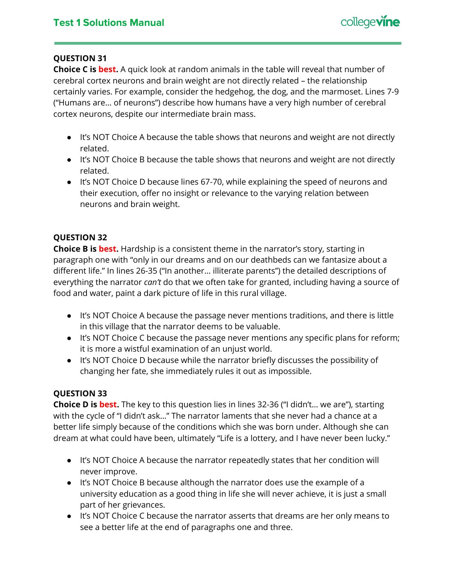**Choice C is best.** A quick look at random animals in the table will reveal that number of cerebral cortex neurons and brain weight are not directly related – the relationship certainly varies. For example, consider the hedgehog, the dog, and the marmoset. Lines 7-9 ("Humans are… of neurons") describe how humans have a very high number of cerebral cortex neurons, despite our intermediate brain mass.

- It's NOT Choice A because the table shows that neurons and weight are not directly related.
- It's NOT Choice B because the table shows that neurons and weight are not directly related.
- It's NOT Choice D because lines 67-70, while explaining the speed of neurons and their execution, offer no insight or relevance to the varying relation between neurons and brain weight.

## **QUESTION 32**

**Choice B is best.** Hardship is a consistent theme in the narrator's story, starting in paragraph one with "only in our dreams and on our deathbeds can we fantasize about a different life." In lines 26-35 ("In another… illiterate parents") the detailed descriptions of everything the narrator *can't* do that we often take for granted, including having a source of food and water, paint a dark picture of life in this rural village.

- It's NOT Choice A because the passage never mentions traditions, and there is little in this village that the narrator deems to be valuable.
- It's NOT Choice C because the passage never mentions any specific plans for reform; it is more a wistful examination of an unjust world.
- It's NOT Choice D because while the narrator briefly discusses the possibility of changing her fate, she immediately rules it out as impossible.

## **QUESTION 33**

**Choice D is best.** The key to this question lies in lines 32-36 ("I didn't… we are"), starting with the cycle of "I didn't ask…" The narrator laments that she never had a chance at a better life simply because of the conditions which she was born under. Although she can dream at what could have been, ultimately "Life is a lottery, and I have never been lucky."

- It's NOT Choice A because the narrator repeatedly states that her condition will never improve.
- It's NOT Choice B because although the narrator does use the example of a university education as a good thing in life she will never achieve, it is just a small part of her grievances.
- It's NOT Choice C because the narrator asserts that dreams are her only means to see a better life at the end of paragraphs one and three.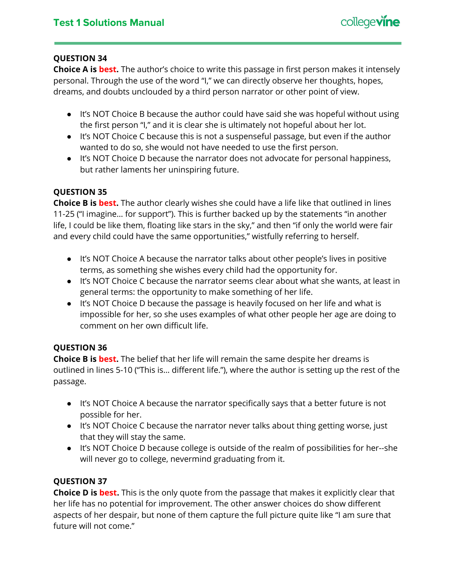**Choice A is best.** The author's choice to write this passage in first person makes it intensely personal. Through the use of the word "I," we can directly observe her thoughts, hopes, dreams, and doubts unclouded by a third person narrator or other point of view.

- It's NOT Choice B because the author could have said she was hopeful without using the first person "I," and it is clear she is ultimately not hopeful about her lot.
- It's NOT Choice C because this is not a suspenseful passage, but even if the author wanted to do so, she would not have needed to use the first person.
- It's NOT Choice D because the narrator does not advocate for personal happiness, but rather laments her uninspiring future.

## **QUESTION 35**

**Choice B is best.** The author clearly wishes she could have a life like that outlined in lines 11-25 ("I imagine… for support"). This is further backed up by the statements "in another life, I could be like them, floating like stars in the sky," and then "if only the world were fair and every child could have the same opportunities," wistfully referring to herself.

- It's NOT Choice A because the narrator talks about other people's lives in positive terms, as something she wishes every child had the opportunity for.
- It's NOT Choice C because the narrator seems clear about what she wants, at least in general terms: the opportunity to make something of her life.
- It's NOT Choice D because the passage is heavily focused on her life and what is impossible for her, so she uses examples of what other people her age are doing to comment on her own difficult life.

## **QUESTION 36**

**Choice B is best.** The belief that her life will remain the same despite her dreams is outlined in lines 5-10 ("This is… different life."), where the author is setting up the rest of the passage.

- It's NOT Choice A because the narrator specifically says that a better future is not possible for her.
- It's NOT Choice C because the narrator never talks about thing getting worse, just that they will stay the same.
- It's NOT Choice D because college is outside of the realm of possibilities for her--she will never go to college, nevermind graduating from it.

## **QUESTION 37**

**Choice D is best.** This is the only quote from the passage that makes it explicitly clear that her life has no potential for improvement. The other answer choices do show different aspects of her despair, but none of them capture the full picture quite like "I am sure that future will not come."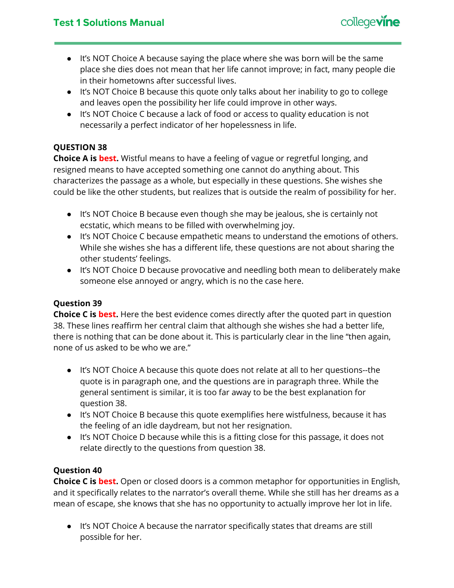

- It's NOT Choice A because saying the place where she was born will be the same place she dies does not mean that her life cannot improve; in fact, many people die in their hometowns after successful lives.
- It's NOT Choice B because this quote only talks about her inability to go to college and leaves open the possibility her life could improve in other ways.
- It's NOT Choice C because a lack of food or access to quality education is not necessarily a perfect indicator of her hopelessness in life.

**Choice A is best.** Wistful means to have a feeling of vague or regretful longing, and resigned means to have accepted something one cannot do anything about. This characterizes the passage as a whole, but especially in these questions. She wishes she could be like the other students, but realizes that is outside the realm of possibility for her.

- It's NOT Choice B because even though she may be jealous, she is certainly not ecstatic, which means to be filled with overwhelming joy.
- It's NOT Choice C because empathetic means to understand the emotions of others. While she wishes she has a different life, these questions are not about sharing the other students' feelings.
- It's NOT Choice D because provocative and needling both mean to deliberately make someone else annoyed or angry, which is no the case here.

## **Question 39**

**Choice C is best.** Here the best evidence comes directly after the quoted part in question 38. These lines reaffirm her central claim that although she wishes she had a better life, there is nothing that can be done about it. This is particularly clear in the line "then again, none of us asked to be who we are."

- It's NOT Choice A because this quote does not relate at all to her questions--the quote is in paragraph one, and the questions are in paragraph three. While the general sentiment is similar, it is too far away to be the best explanation for question 38.
- It's NOT Choice B because this quote exemplifies here wistfulness, because it has the feeling of an idle daydream, but not her resignation.
- It's NOT Choice D because while this is a fitting close for this passage, it does not relate directly to the questions from question 38.

## **Question 40**

**Choice C is best.** Open or closed doors is a common metaphor for opportunities in English, and it specifically relates to the narrator's overall theme. While she still has her dreams as a mean of escape, she knows that she has no opportunity to actually improve her lot in life.

● It's NOT Choice A because the narrator specifically states that dreams are still possible for her.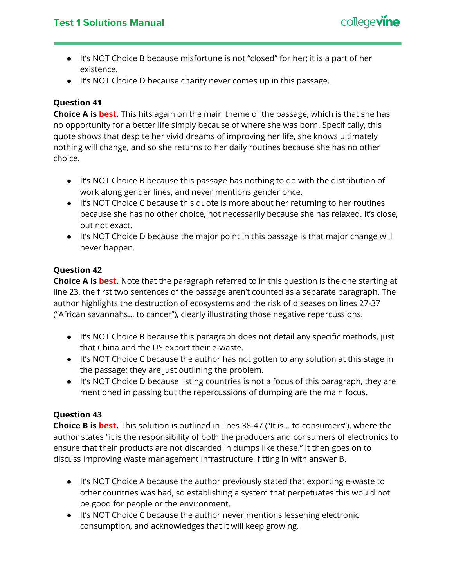

- It's NOT Choice B because misfortune is not "closed" for her; it is a part of her existence.
- It's NOT Choice D because charity never comes up in this passage.

## **Question 41**

**Choice A is best.** This hits again on the main theme of the passage, which is that she has no opportunity for a better life simply because of where she was born. Specifically, this quote shows that despite her vivid dreams of improving her life, she knows ultimately nothing will change, and so she returns to her daily routines because she has no other choice.

- It's NOT Choice B because this passage has nothing to do with the distribution of work along gender lines, and never mentions gender once.
- It's NOT Choice C because this quote is more about her returning to her routines because she has no other choice, not necessarily because she has relaxed. It's close, but not exact.
- It's NOT Choice D because the major point in this passage is that major change will never happen.

## **Question 42**

**Choice A is best.** Note that the paragraph referred to in this question is the one starting at line 23, the first two sentences of the passage aren't counted as a separate paragraph. The author highlights the destruction of ecosystems and the risk of diseases on lines 27-37 ("African savannahs… to cancer"), clearly illustrating those negative repercussions.

- It's NOT Choice B because this paragraph does not detail any specific methods, just that China and the US export their e-waste.
- It's NOT Choice C because the author has not gotten to any solution at this stage in the passage; they are just outlining the problem.
- It's NOT Choice D because listing countries is not a focus of this paragraph, they are mentioned in passing but the repercussions of dumping are the main focus.

## **Question 43**

**Choice B is best.** This solution is outlined in lines 38-47 ("It is… to consumers"), where the author states "it is the responsibility of both the producers and consumers of electronics to ensure that their products are not discarded in dumps like these." It then goes on to discuss improving waste management infrastructure, fitting in with answer B.

- It's NOT Choice A because the author previously stated that exporting e-waste to other countries was bad, so establishing a system that perpetuates this would not be good for people or the environment.
- It's NOT Choice C because the author never mentions lessening electronic consumption, and acknowledges that it will keep growing.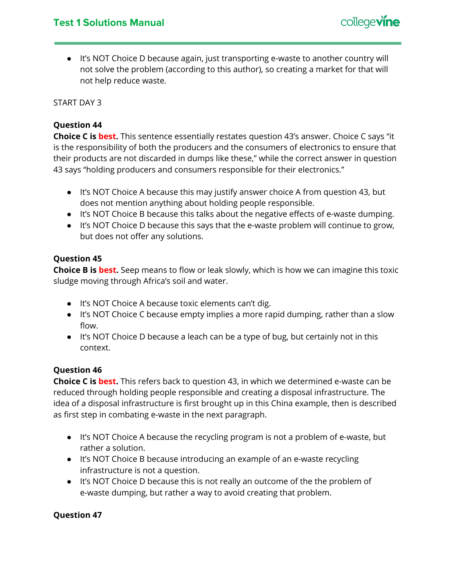● It's NOT Choice D because again, just transporting e-waste to another country will not solve the problem (according to this author), so creating a market for that will not help reduce waste.

START DAY 3

## **Question 44**

**Choice C is best.** This sentence essentially restates question 43's answer. Choice C says "it is the responsibility of both the producers and the consumers of electronics to ensure that their products are not discarded in dumps like these," while the correct answer in question 43 says "holding producers and consumers responsible for their electronics."

- It's NOT Choice A because this may justify answer choice A from question 43, but does not mention anything about holding people responsible.
- It's NOT Choice B because this talks about the negative effects of e-waste dumping.
- It's NOT Choice D because this says that the e-waste problem will continue to grow, but does not offer any solutions.

## **Question 45**

**Choice B is best.** Seep means to flow or leak slowly, which is how we can imagine this toxic sludge moving through Africa's soil and water.

- It's NOT Choice A because toxic elements can't dig.
- It's NOT Choice C because empty implies a more rapid dumping, rather than a slow flow.
- It's NOT Choice D because a leach can be a type of bug, but certainly not in this context.

## **Question 46**

**Choice C is best.** This refers back to question 43, in which we determined e-waste can be reduced through holding people responsible and creating a disposal infrastructure. The idea of a disposal infrastructure is first brought up in this China example, then is described as first step in combating e-waste in the next paragraph.

- It's NOT Choice A because the recycling program is not a problem of e-waste, but rather a solution.
- It's NOT Choice B because introducing an example of an e-waste recycling infrastructure is not a question.
- It's NOT Choice D because this is not really an outcome of the the problem of e-waste dumping, but rather a way to avoid creating that problem.

## **Question 47**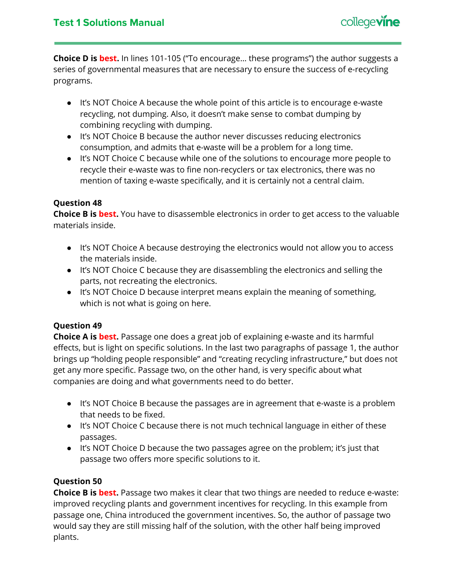

**Choice D is best.** In lines 101-105 ("To encourage… these programs") the author suggests a series of governmental measures that are necessary to ensure the success of e-recycling programs.

- It's NOT Choice A because the whole point of this article is to encourage e-waste recycling, not dumping. Also, it doesn't make sense to combat dumping by combining recycling with dumping.
- It's NOT Choice B because the author never discusses reducing electronics consumption, and admits that e-waste will be a problem for a long time.
- It's NOT Choice C because while one of the solutions to encourage more people to recycle their e-waste was to fine non-recyclers or tax electronics, there was no mention of taxing e-waste specifically, and it is certainly not a central claim.

## **Question 48**

**Choice B is best.** You have to disassemble electronics in order to get access to the valuable materials inside.

- It's NOT Choice A because destroying the electronics would not allow you to access the materials inside.
- It's NOT Choice C because they are disassembling the electronics and selling the parts, not recreating the electronics.
- It's NOT Choice D because interpret means explain the meaning of something, which is not what is going on here.

## **Question 49**

**Choice A is best.** Passage one does a great job of explaining e-waste and its harmful effects, but is light on specific solutions. In the last two paragraphs of passage 1, the author brings up "holding people responsible" and "creating recycling infrastructure," but does not get any more specific. Passage two, on the other hand, is very specific about what companies are doing and what governments need to do better.

- It's NOT Choice B because the passages are in agreement that e-waste is a problem that needs to be fixed.
- It's NOT Choice C because there is not much technical language in either of these passages.
- It's NOT Choice D because the two passages agree on the problem; it's just that passage two offers more specific solutions to it.

## **Question 50**

**Choice B is best.** Passage two makes it clear that two things are needed to reduce e-waste: improved recycling plants and government incentives for recycling. In this example from passage one, China introduced the government incentives. So, the author of passage two would say they are still missing half of the solution, with the other half being improved plants.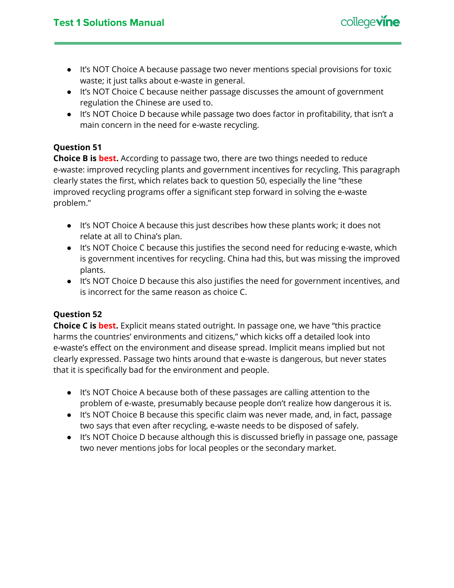

- It's NOT Choice A because passage two never mentions special provisions for toxic waste; it just talks about e-waste in general.
- It's NOT Choice C because neither passage discusses the amount of government regulation the Chinese are used to.
- It's NOT Choice D because while passage two does factor in profitability, that isn't a main concern in the need for e-waste recycling.

## **Question 51**

**Choice B is best.** According to passage two, there are two things needed to reduce e-waste: improved recycling plants and government incentives for recycling. This paragraph clearly states the first, which relates back to question 50, especially the line "these improved recycling programs offer a significant step forward in solving the e-waste problem."

- It's NOT Choice A because this just describes how these plants work; it does not relate at all to China's plan.
- It's NOT Choice C because this justifies the second need for reducing e-waste, which is government incentives for recycling. China had this, but was missing the improved plants.
- It's NOT Choice D because this also justifies the need for government incentives, and is incorrect for the same reason as choice C.

## **Question 52**

**Choice C is best.** Explicit means stated outright. In passage one, we have "this practice harms the countries' environments and citizens," which kicks off a detailed look into e-waste's effect on the environment and disease spread. Implicit means implied but not clearly expressed. Passage two hints around that e-waste is dangerous, but never states that it is specifically bad for the environment and people.

- It's NOT Choice A because both of these passages are calling attention to the problem of e-waste, presumably because people don't realize how dangerous it is.
- It's NOT Choice B because this specific claim was never made, and, in fact, passage two says that even after recycling, e-waste needs to be disposed of safely.
- It's NOT Choice D because although this is discussed briefly in passage one, passage two never mentions jobs for local peoples or the secondary market.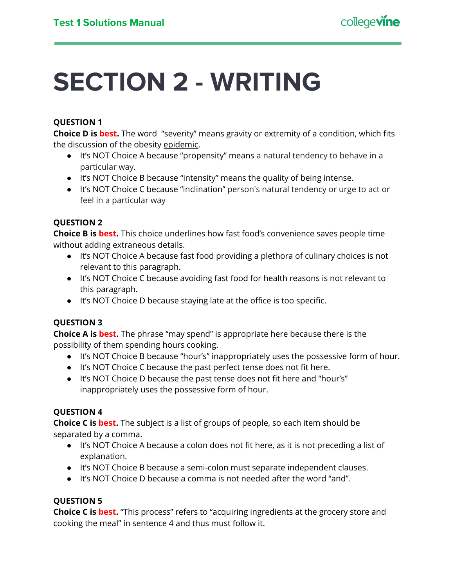# <span id="page-17-0"></span>**SECTION 2 - WRITING**

## **QUESTION 1**

**Choice D is best.** The word "severity" means gravity or extremity of a condition, which fits the discussion of the obesity epidemic.

- It's NOT Choice A because "propensity" means a natural tendency to behave in a particular way.
- It's NOT Choice B because "intensity" means the quality of being intense.
- It's NOT Choice C because "inclination" person's natural tendency or urge to act or feel in a particular way

## **QUESTION 2**

**Choice B is best.** This choice underlines how fast food's convenience saves people time without adding extraneous details.

- It's NOT Choice A because fast food providing a plethora of culinary choices is not relevant to this paragraph.
- It's NOT Choice C because avoiding fast food for health reasons is not relevant to this paragraph.
- It's NOT Choice D because staying late at the office is too specific.

## **QUESTION 3**

**Choice A is best.** The phrase "may spend" is appropriate here because there is the possibility of them spending hours cooking.

- It's NOT Choice B because "hour's" inappropriately uses the possessive form of hour.
- It's NOT Choice C because the past perfect tense does not fit here.
- It's NOT Choice D because the past tense does not fit here and "hour's" inappropriately uses the possessive form of hour.

## **QUESTION 4**

**Choice C is best.** The subject is a list of groups of people, so each item should be separated by a comma.

- It's NOT Choice A because a colon does not fit here, as it is not preceding a list of explanation.
- It's NOT Choice B because a semi-colon must separate independent clauses.
- It's NOT Choice D because a comma is not needed after the word "and".

## **QUESTION 5**

**Choice C is best.** "This process" refers to "acquiring ingredients at the grocery store and cooking the meal" in sentence 4 and thus must follow it.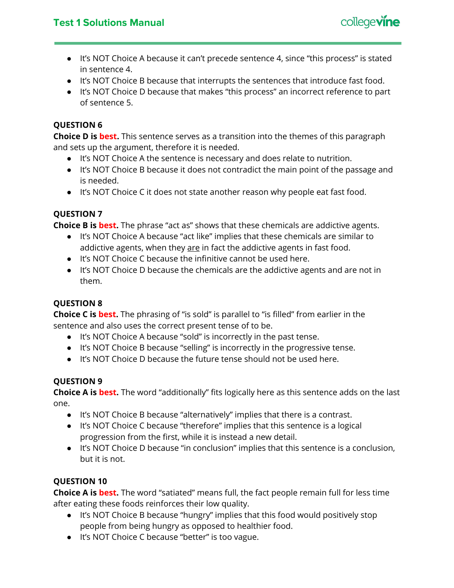

- It's NOT Choice A because it can't precede sentence 4, since "this process" is stated in sentence 4.
- It's NOT Choice B because that interrupts the sentences that introduce fast food.
- It's NOT Choice D because that makes "this process" an incorrect reference to part of sentence 5.

**Choice D is best.** This sentence serves as a transition into the themes of this paragraph and sets up the argument, therefore it is needed.

- It's NOT Choice A the sentence is necessary and does relate to nutrition.
- It's NOT Choice B because it does not contradict the main point of the passage and is needed.
- It's NOT Choice C it does not state another reason why people eat fast food.

## **QUESTION 7**

**Choice B is best.** The phrase "act as" shows that these chemicals are addictive agents.

- It's NOT Choice A because "act like" implies that these chemicals are similar to addictive agents, when they are in fact the addictive agents in fast food.
- It's NOT Choice C because the infinitive cannot be used here.
- It's NOT Choice D because the chemicals are the addictive agents and are not in them.

## **QUESTION 8**

**Choice C is best.** The phrasing of "is sold" is parallel to "is filled" from earlier in the sentence and also uses the correct present tense of to be.

- It's NOT Choice A because "sold" is incorrectly in the past tense.
- It's NOT Choice B because "selling" is incorrectly in the progressive tense.
- It's NOT Choice D because the future tense should not be used here.

## **QUESTION 9**

**Choice A is best.** The word "additionally" fits logically here as this sentence adds on the last one.

- It's NOT Choice B because "alternatively" implies that there is a contrast.
- It's NOT Choice C because "therefore" implies that this sentence is a logical progression from the first, while it is instead a new detail.
- It's NOT Choice D because "in conclusion" implies that this sentence is a conclusion, but it is not.

## **QUESTION 10**

**Choice A is best.** The word "satiated" means full, the fact people remain full for less time after eating these foods reinforces their low quality.

- It's NOT Choice B because "hungry" implies that this food would positively stop people from being hungry as opposed to healthier food.
- It's NOT Choice C because "better" is too vague.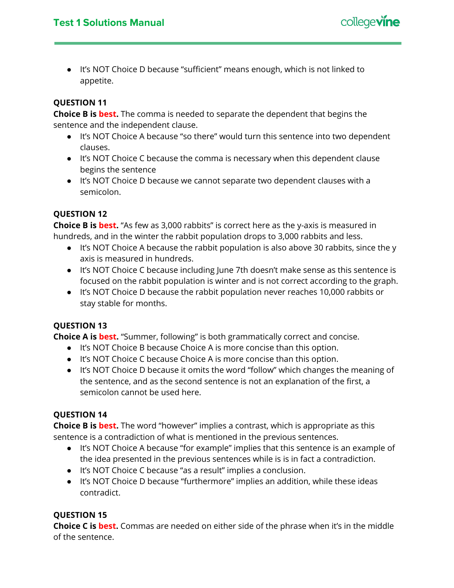

● It's NOT Choice D because "sufficient" means enough, which is not linked to appetite.

## **QUESTION 11**

**Choice B is best.** The comma is needed to separate the dependent that begins the sentence and the independent clause.

- It's NOT Choice A because "so there" would turn this sentence into two dependent clauses.
- It's NOT Choice C because the comma is necessary when this dependent clause begins the sentence
- It's NOT Choice D because we cannot separate two dependent clauses with a semicolon.

## **QUESTION 12**

**Choice B is best.** "As few as 3,000 rabbits" is correct here as the y-axis is measured in hundreds, and in the winter the rabbit population drops to 3,000 rabbits and less.

- It's NOT Choice A because the rabbit population is also above 30 rabbits, since the y axis is measured in hundreds.
- It's NOT Choice C because including June 7th doesn't make sense as this sentence is focused on the rabbit population is winter and is not correct according to the graph.
- It's NOT Choice D because the rabbit population never reaches 10,000 rabbits or stay stable for months.

## **QUESTION 13**

**Choice A is best.** "Summer, following" is both grammatically correct and concise.

- It's NOT Choice B because Choice A is more concise than this option.
- It's NOT Choice C because Choice A is more concise than this option.
- It's NOT Choice D because it omits the word "follow" which changes the meaning of the sentence, and as the second sentence is not an explanation of the first, a semicolon cannot be used here.

## **QUESTION 14**

**Choice B is best.** The word "however" implies a contrast, which is appropriate as this sentence is a contradiction of what is mentioned in the previous sentences.

- It's NOT Choice A because "for example" implies that this sentence is an example of the idea presented in the previous sentences while is is in fact a contradiction.
- It's NOT Choice C because "as a result" implies a conclusion.
- It's NOT Choice D because "furthermore" implies an addition, while these ideas contradict.

## **QUESTION 15**

**Choice C is best.** Commas are needed on either side of the phrase when it's in the middle of the sentence.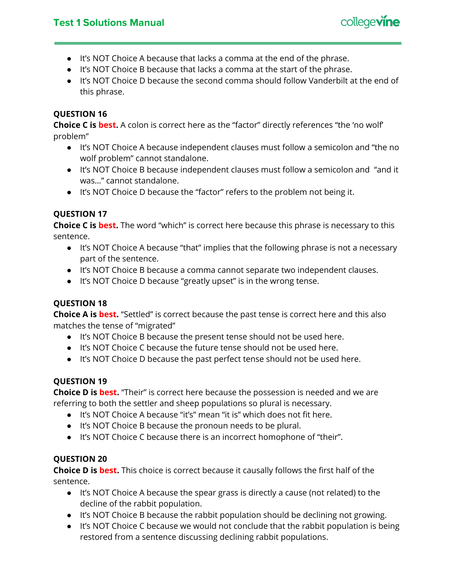## **Test 1 Solutions Manual**



- It's NOT Choice A because that lacks a comma at the end of the phrase.
- It's NOT Choice B because that lacks a comma at the start of the phrase.
- It's NOT Choice D because the second comma should follow Vanderbilt at the end of this phrase.

## **QUESTION 16**

**Choice C is best.** A colon is correct here as the "factor" directly references "the 'no wolf' problem"

- It's NOT Choice A because independent clauses must follow a semicolon and "the no wolf problem" cannot standalone.
- It's NOT Choice B because independent clauses must follow a semicolon and "and it was…" cannot standalone.
- It's NOT Choice D because the "factor" refers to the problem not being it.

## **QUESTION 17**

**Choice C is best.** The word "which" is correct here because this phrase is necessary to this sentence.

- It's NOT Choice A because "that" implies that the following phrase is not a necessary part of the sentence.
- It's NOT Choice B because a comma cannot separate two independent clauses.
- It's NOT Choice D because "greatly upset" is in the wrong tense.

## **QUESTION 18**

**Choice A is best.** "Settled" is correct because the past tense is correct here and this also matches the tense of "migrated"

- It's NOT Choice B because the present tense should not be used here.
- It's NOT Choice C because the future tense should not be used here.
- It's NOT Choice D because the past perfect tense should not be used here.

## **QUESTION 19**

**Choice D is best.** "Their" is correct here because the possession is needed and we are referring to both the settler and sheep populations so plural is necessary.

- It's NOT Choice A because "it's" mean "it is" which does not fit here.
- It's NOT Choice B because the pronoun needs to be plural.
- It's NOT Choice C because there is an incorrect homophone of "their".

## **QUESTION 20**

**Choice D is best.** This choice is correct because it causally follows the first half of the sentence.

- It's NOT Choice A because the spear grass is directly a cause (not related) to the decline of the rabbit population.
- It's NOT Choice B because the rabbit population should be declining not growing.
- It's NOT Choice C because we would not conclude that the rabbit population is being restored from a sentence discussing declining rabbit populations.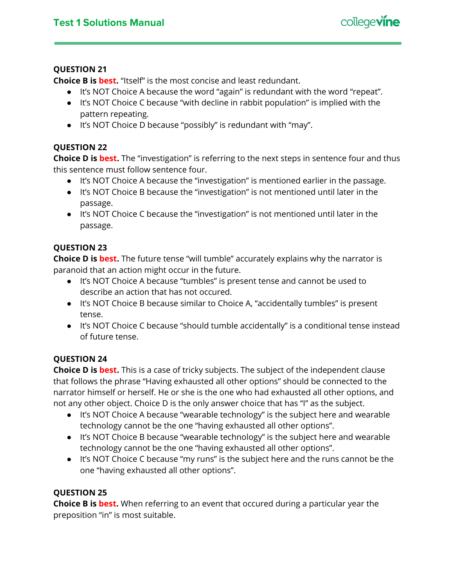

**Choice B is best.** "Itself" is the most concise and least redundant.

- It's NOT Choice A because the word "again" is redundant with the word "repeat".
- It's NOT Choice C because "with decline in rabbit population" is implied with the pattern repeating.
- It's NOT Choice D because "possibly" is redundant with "may".

## **QUESTION 22**

**Choice D is best.** The "investigation" is referring to the next steps in sentence four and thus this sentence must follow sentence four.

- It's NOT Choice A because the "investigation" is mentioned earlier in the passage.
- It's NOT Choice B because the "investigation" is not mentioned until later in the passage.
- It's NOT Choice C because the "investigation" is not mentioned until later in the passage.

## **QUESTION 23**

**Choice D is best.** The future tense "will tumble" accurately explains why the narrator is paranoid that an action might occur in the future.

- It's NOT Choice A because "tumbles" is present tense and cannot be used to describe an action that has not occured.
- It's NOT Choice B because similar to Choice A, "accidentally tumbles" is present tense.
- It's NOT Choice C because "should tumble accidentally" is a conditional tense instead of future tense.

## **QUESTION 24**

**Choice D is best.** This is a case of tricky subjects. The subject of the independent clause that follows the phrase "Having exhausted all other options" should be connected to the narrator himself or herself. He or she is the one who had exhausted all other options, and not any other object. Choice D is the only answer choice that has "I" as the subject.

- It's NOT Choice A because "wearable technology" is the subject here and wearable technology cannot be the one "having exhausted all other options".
- It's NOT Choice B because "wearable technology" is the subject here and wearable technology cannot be the one "having exhausted all other options".
- It's NOT Choice C because "my runs" is the subject here and the runs cannot be the one "having exhausted all other options".

## **QUESTION 25**

**Choice B is best.** When referring to an event that occured during a particular year the preposition "in" is most suitable.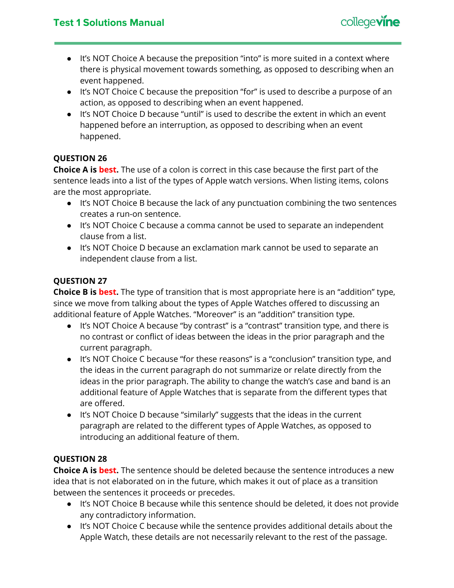

- It's NOT Choice A because the preposition "into" is more suited in a context where there is physical movement towards something, as opposed to describing when an event happened.
- It's NOT Choice C because the preposition "for" is used to describe a purpose of an action, as opposed to describing when an event happened.
- It's NOT Choice D because "until" is used to describe the extent in which an event happened before an interruption, as opposed to describing when an event happened.

**Choice A is best.** The use of a colon is correct in this case because the first part of the sentence leads into a list of the types of Apple watch versions. When listing items, colons are the most appropriate.

- It's NOT Choice B because the lack of any punctuation combining the two sentences creates a run-on sentence.
- It's NOT Choice C because a comma cannot be used to separate an independent clause from a list.
- It's NOT Choice D because an exclamation mark cannot be used to separate an independent clause from a list.

## **QUESTION 27**

**Choice B is best.** The type of transition that is most appropriate here is an "addition" type, since we move from talking about the types of Apple Watches offered to discussing an additional feature of Apple Watches. "Moreover" is an "addition" transition type.

- It's NOT Choice A because "by contrast" is a "contrast" transition type, and there is no contrast or conflict of ideas between the ideas in the prior paragraph and the current paragraph.
- It's NOT Choice C because "for these reasons" is a "conclusion" transition type, and the ideas in the current paragraph do not summarize or relate directly from the ideas in the prior paragraph. The ability to change the watch's case and band is an additional feature of Apple Watches that is separate from the different types that are offered.
- It's NOT Choice D because "similarly" suggests that the ideas in the current paragraph are related to the different types of Apple Watches, as opposed to introducing an additional feature of them.

## **QUESTION 28**

**Choice A is best.** The sentence should be deleted because the sentence introduces a new idea that is not elaborated on in the future, which makes it out of place as a transition between the sentences it proceeds or precedes.

- It's NOT Choice B because while this sentence should be deleted, it does not provide any contradictory information.
- It's NOT Choice C because while the sentence provides additional details about the Apple Watch, these details are not necessarily relevant to the rest of the passage.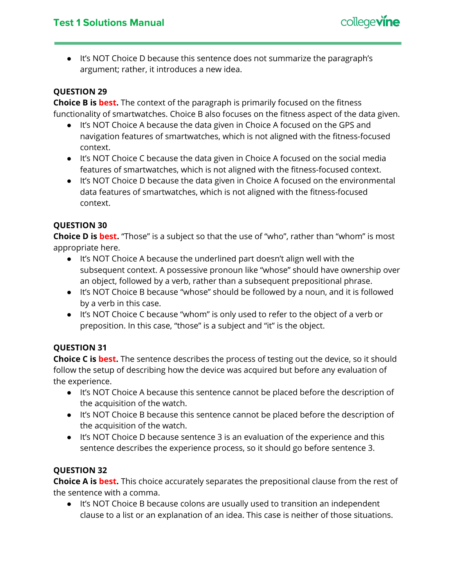

● It's NOT Choice D because this sentence does not summarize the paragraph's argument; rather, it introduces a new idea.

## **QUESTION 29**

**Choice B is best.** The context of the paragraph is primarily focused on the fitness functionality of smartwatches. Choice B also focuses on the fitness aspect of the data given.

- It's NOT Choice A because the data given in Choice A focused on the GPS and navigation features of smartwatches, which is not aligned with the fitness-focused context.
- It's NOT Choice C because the data given in Choice A focused on the social media features of smartwatches, which is not aligned with the fitness-focused context.
- It's NOT Choice D because the data given in Choice A focused on the environmental data features of smartwatches, which is not aligned with the fitness-focused context.

## **QUESTION 30**

**Choice D is best.** "Those" is a subject so that the use of "who", rather than "whom" is most appropriate here.

- It's NOT Choice A because the underlined part doesn't align well with the subsequent context. A possessive pronoun like "whose" should have ownership over an object, followed by a verb, rather than a subsequent prepositional phrase.
- It's NOT Choice B because "whose" should be followed by a noun, and it is followed by a verb in this case.
- It's NOT Choice C because "whom" is only used to refer to the object of a verb or preposition. In this case, "those" is a subject and "it" is the object.

## **QUESTION 31**

**Choice C is best.** The sentence describes the process of testing out the device, so it should follow the setup of describing how the device was acquired but before any evaluation of the experience.

- It's NOT Choice A because this sentence cannot be placed before the description of the acquisition of the watch.
- It's NOT Choice B because this sentence cannot be placed before the description of the acquisition of the watch.
- It's NOT Choice D because sentence 3 is an evaluation of the experience and this sentence describes the experience process, so it should go before sentence 3.

## **QUESTION 32**

**Choice A is best.** This choice accurately separates the prepositional clause from the rest of the sentence with a comma.

● It's NOT Choice B because colons are usually used to transition an independent clause to a list or an explanation of an idea. This case is neither of those situations.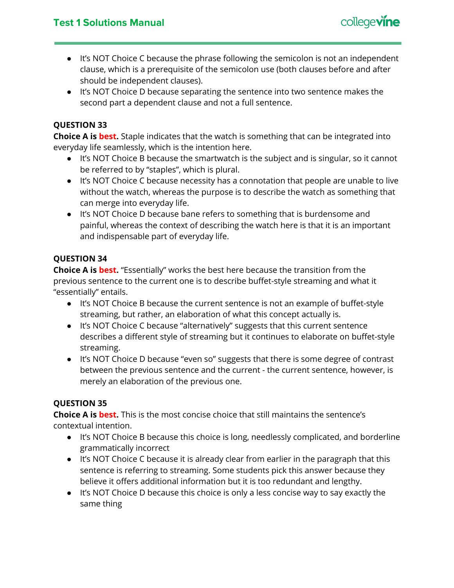

- It's NOT Choice C because the phrase following the semicolon is not an independent clause, which is a prerequisite of the semicolon use (both clauses before and after should be independent clauses).
- It's NOT Choice D because separating the sentence into two sentence makes the second part a dependent clause and not a full sentence.

**Choice A is best.** Staple indicates that the watch is something that can be integrated into everyday life seamlessly, which is the intention here.

- It's NOT Choice B because the smartwatch is the subject and is singular, so it cannot be referred to by "staples", which is plural.
- It's NOT Choice C because necessity has a connotation that people are unable to live without the watch, whereas the purpose is to describe the watch as something that can merge into everyday life.
- It's NOT Choice D because bane refers to something that is burdensome and painful, whereas the context of describing the watch here is that it is an important and indispensable part of everyday life.

## **QUESTION 34**

**Choice A is best.** "Essentially" works the best here because the transition from the previous sentence to the current one is to describe buffet-style streaming and what it "essentially" entails.

- It's NOT Choice B because the current sentence is not an example of buffet-style streaming, but rather, an elaboration of what this concept actually is.
- It's NOT Choice C because "alternatively" suggests that this current sentence describes a different style of streaming but it continues to elaborate on buffet-style streaming.
- It's NOT Choice D because "even so" suggests that there is some degree of contrast between the previous sentence and the current - the current sentence, however, is merely an elaboration of the previous one.

## **QUESTION 35**

**Choice A is best.** This is the most concise choice that still maintains the sentence's contextual intention.

- It's NOT Choice B because this choice is long, needlessly complicated, and borderline grammatically incorrect
- It's NOT Choice C because it is already clear from earlier in the paragraph that this sentence is referring to streaming. Some students pick this answer because they believe it offers additional information but it is too redundant and lengthy.
- It's NOT Choice D because this choice is only a less concise way to say exactly the same thing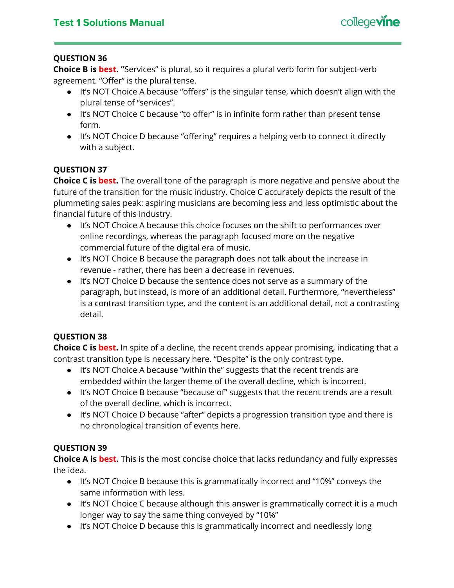

**Choice B is best. "**Services" is plural, so it requires a plural verb form for subject-verb agreement. "Offer" is the plural tense.

- It's NOT Choice A because "offers" is the singular tense, which doesn't align with the plural tense of "services".
- It's NOT Choice C because "to offer" is in infinite form rather than present tense form.
- It's NOT Choice D because "offering" requires a helping verb to connect it directly with a subject.

## **QUESTION 37**

**Choice C is best.** The overall tone of the paragraph is more negative and pensive about the future of the transition for the music industry. Choice C accurately depicts the result of the plummeting sales peak: aspiring musicians are becoming less and less optimistic about the financial future of this industry.

- It's NOT Choice A because this choice focuses on the shift to performances over online recordings, whereas the paragraph focused more on the negative commercial future of the digital era of music.
- It's NOT Choice B because the paragraph does not talk about the increase in revenue - rather, there has been a decrease in revenues.
- It's NOT Choice D because the sentence does not serve as a summary of the paragraph, but instead, is more of an additional detail. Furthermore, "nevertheless" is a contrast transition type, and the content is an additional detail, not a contrasting detail.

## **QUESTION 38**

**Choice C is best.** In spite of a decline, the recent trends appear promising, indicating that a contrast transition type is necessary here. "Despite" is the only contrast type.

- It's NOT Choice A because "within the" suggests that the recent trends are embedded within the larger theme of the overall decline, which is incorrect.
- It's NOT Choice B because "because of" suggests that the recent trends are a result of the overall decline, which is incorrect.
- It's NOT Choice D because "after" depicts a progression transition type and there is no chronological transition of events here.

## **QUESTION 39**

**Choice A is best.** This is the most concise choice that lacks redundancy and fully expresses the idea.

- It's NOT Choice B because this is grammatically incorrect and "10%" conveys the same information with less.
- It's NOT Choice C because although this answer is grammatically correct it is a much longer way to say the same thing conveyed by "10%"
- It's NOT Choice D because this is grammatically incorrect and needlessly long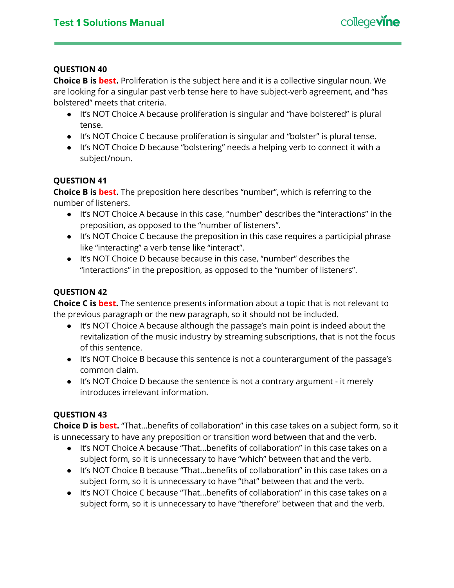**Choice B is best.** Proliferation is the subject here and it is a collective singular noun. We are looking for a singular past verb tense here to have subject-verb agreement, and "has bolstered" meets that criteria.

- It's NOT Choice A because proliferation is singular and "have bolstered" is plural tense.
- It's NOT Choice C because proliferation is singular and "bolster" is plural tense.
- It's NOT Choice D because "bolstering" needs a helping verb to connect it with a subject/noun.

## **QUESTION 41**

**Choice B is best.** The preposition here describes "number", which is referring to the number of listeners.

- It's NOT Choice A because in this case, "number" describes the "interactions" in the preposition, as opposed to the "number of listeners".
- It's NOT Choice C because the preposition in this case requires a participial phrase like "interacting" a verb tense like "interact".
- It's NOT Choice D because because in this case, "number" describes the "interactions" in the preposition, as opposed to the "number of listeners".

## **QUESTION 42**

**Choice C is best.** The sentence presents information about a topic that is not relevant to the previous paragraph or the new paragraph, so it should not be included.

- It's NOT Choice A because although the passage's main point is indeed about the revitalization of the music industry by streaming subscriptions, that is not the focus of this sentence.
- It's NOT Choice B because this sentence is not a counterargument of the passage's common claim.
- It's NOT Choice D because the sentence is not a contrary argument it merely introduces irrelevant information.

## **QUESTION 43**

**Choice D is best.** "That...benefits of collaboration" in this case takes on a subject form, so it is unnecessary to have any preposition or transition word between that and the verb.

- It's NOT Choice A because "That...benefits of collaboration" in this case takes on a subject form, so it is unnecessary to have "which" between that and the verb.
- It's NOT Choice B because "That...benefits of collaboration" in this case takes on a subject form, so it is unnecessary to have "that" between that and the verb.
- It's NOT Choice C because "That...benefits of collaboration" in this case takes on a subject form, so it is unnecessary to have "therefore" between that and the verb.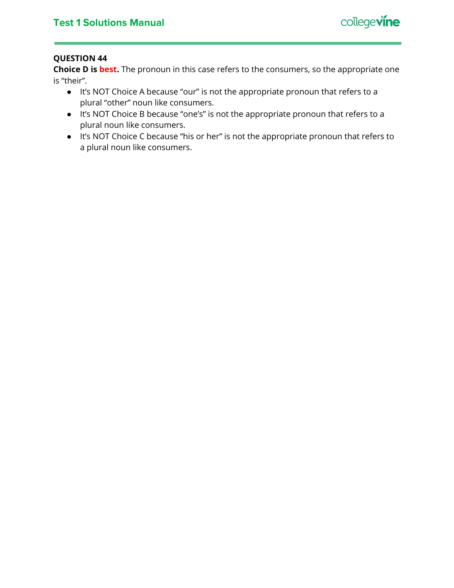

**Choice D is best.** The pronoun in this case refers to the consumers, so the appropriate one is "their".

- It's NOT Choice A because "our" is not the appropriate pronoun that refers to a plural "other" noun like consumers.
- It's NOT Choice B because "one's" is not the appropriate pronoun that refers to a plural noun like consumers.
- It's NOT Choice C because "his or her" is not the appropriate pronoun that refers to a plural noun like consumers.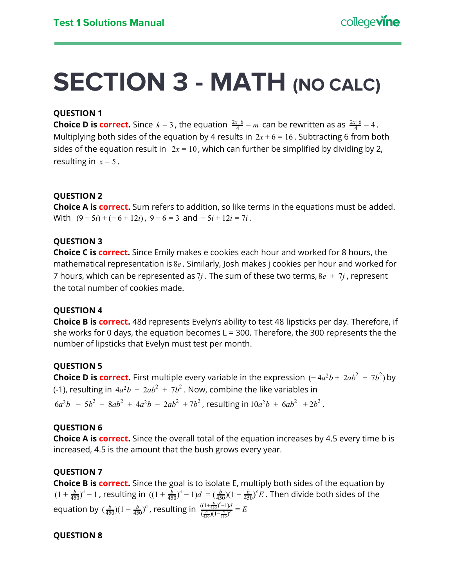## <span id="page-28-0"></span>**SECTION 3 - MATH (NO CALC)**

## **QUESTION 1**

**Choice D is correct.** Since  $k = 3$ , the equation  $\frac{2x+6}{4} = m$  can be rewritten as as  $\frac{2x+6}{4} = 4$ . Multiplying both sides of the equation by 4 results in  $2x + 6 = 16$ . Subtracting 6 from both sides of the equation result in  $2x = 10$ , which can further be simplified by dividing by 2, resulting in  $x = 5$ .

## **QUESTION 2**

**Choice A is correct.** Sum refers to addition, so like terms in the equations must be added. With  $(9-5i) + (-6+12i)$ ,  $9-6=3$  and  $-5i+12i=7i$ .

## **QUESTION 3**

**Choice C is correct.** Since Emily makes e cookies each hour and worked for 8 hours, the mathematical representation is 8*e* . Similarly, Josh makes j cookies per hour and worked for 7 hours, which can be represented as 7*j* . The sum of these two terms, 8*e* + 7*j* , represent the total number of cookies made.

## **QUESTION 4**

**Choice B is correct.** 48d represents Evelyn's ability to test 48 lipsticks per day. Therefore, if she works for 0 days, the equation becomes  $L = 300$ . Therefore, the 300 represents the the number of lipsticks that Evelyn must test per month.

## **QUESTION 5**

**Choice D is correct.** First multiple every variable in the expression  $(-4a^2b + 2ab^2 - 7b^2)$  by (-1), resulting in  $4a^2b - 2ab^2 + 7b^2$  . Now, combine the like variables in

 $6a^2b - 5b^2 + 8ab^2 + 4a^2b - 2ab^2 + 7b^2$ , resulting in  $10a^2b + 6ab^2 + 2b^2$ .

#### **QUESTION 6**

**Choice A is correct.** Since the overall total of the equation increases by 4.5 every time b is increased, 4.5 is the amount that the bush grows every year.

## **QUESTION 7**

**Choice B is correct.** Since the goal is to isolate E, multiply both sides of the equation by  $(1 + \frac{b}{450})^c - 1$ , resulting in  $((1 + \frac{b}{450})^c - 1)d = (\frac{b}{450})(1 - \frac{b}{450})^c E$ . Then divide both sides of the  $\frac{b}{450}$ <sup>*c*</sup> − 1, resulting in  $((1 + \frac{b}{450})^c - 1)d = (\frac{b}{450})(1 - \frac{b}{450})^c E$  $(\frac{b}{450})^c - 1$  $d = (\frac{b}{450})(1 - \frac{b}{450})$ 450 *c* equation by  $(\frac{b}{450})(1 - \frac{b}{450})^c$ , resulting in 450 *c*  $\frac{\left((1+\frac{b}{450})^c-1\right)d}{\left(\frac{b}{450}\right)\left(1-\frac{b}{450}\right)^c} = E$ 

#### **QUESTION 8**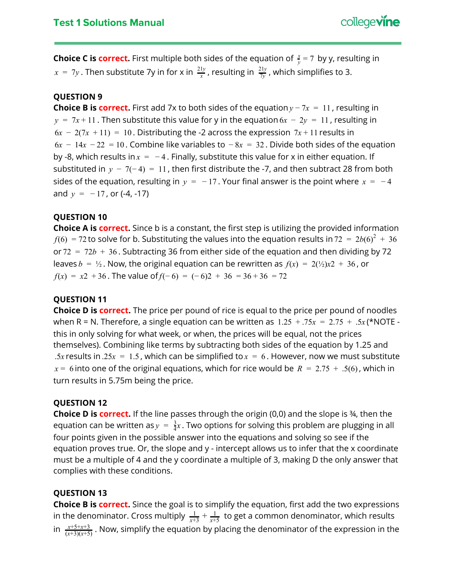**Choice C is correct.** First multiple both sides of the equation of  $\frac{x}{y} = 7$  by y, resulting in  $x = 7y$  . Then substitute 7y in for x in  $\frac{21y}{x}$ , resulting in  $\frac{21y}{7y}$ , which simplifies to 3. 21*y* 7*y* 21*y*

## **QUESTION 9**

**Choice B is correct.** First add 7x to both sides of the equation  $y - 7x = 11$ , resulting in  $y = 7x + 11$ . Then substitute this value for y in the equation  $6x - 2y = 11$ , resulting in  $6x - 2(7x + 11) = 10$ . Distributing the -2 across the expression  $7x + 11$  results in  $6x - 14x - 22 = 10$ . Combine like variables to  $-8x = 32$ . Divide both sides of the equation by -8, which results in  $x = -4$ . Finally, substitute this value for x in either equation. If substituted in  $y - 7(-4) = 11$ , then first distribute the -7, and then subtract 28 from both sides of the equation, resulting in  $y = -17$ . Your final answer is the point where  $x = -4$ and  $y = -17$ , or  $(-4, -17)$ 

#### **QUESTION 10**

**Choice A is correct.** Since b is a constant, the first step is utilizing the provided information  $f(6) = 72$  to solve for b. Substituting the values into the equation results in 72 =  $2b(6)^2 + 36$ or  $72 = 72b + 36$ . Subtracting 36 from either side of the equation and then dividing by 72 leaves  $b = \frac{1}{2}$ . Now, the original equation can be rewritten as  $f(x) = 2(\frac{1}{2})x^2 + 36$ , or *f*(*x*) = *x*2 + 36. The value of *f*(− 6) = (− 6)2 + 36 = 36 + 36 = 72

#### **QUESTION 11**

**Choice D is correct.** The price per pound of rice is equal to the price per pound of noodles when R = N. Therefore, a single equation can be written as  $1.25 + .75x = 2.75 + .5x$  (\*NOTE this in only solving for what week, or when, the prices will be equal, not the prices themselves). Combining like terms by subtracting both sides of the equation by 1.25 and .5x results in .25 $x = 1.5$ , which can be simplified to  $x = 6$ . However, now we must substitute  $x = 6$  into one of the original equations, which for rice would be  $R = 2.75 + .5(6)$ , which in turn results in 5.75m being the price.

## **QUESTION 12**

**Choice D is correct.** If the line passes through the origin (0,0) and the slope is ¾, then the equation can be written as $y = \frac{3}{4}x$ . Two options for solving this problem are plugging in all four points given in the possible answer into the equations and solving so see if the equation proves true. Or, the slope and y - intercept allows us to infer that the x coordinate must be a multiple of 4 and the y coordinate a multiple of 3, making D the only answer that complies with these conditions.

## **QUESTION 13**

**Choice B is correct.** Since the goal is to simplify the equation, first add the two expressions in the denominator. Cross multiply  $\frac{1}{x+3} + \frac{1}{x+5}$  to get a common denominator, which results *x*+5 in  $\frac{x+5+x+3}{(x+3)(x+5)}$ . Now, simplify the equation by placing the denominator of the expression in the  $(x+3)(x+5)$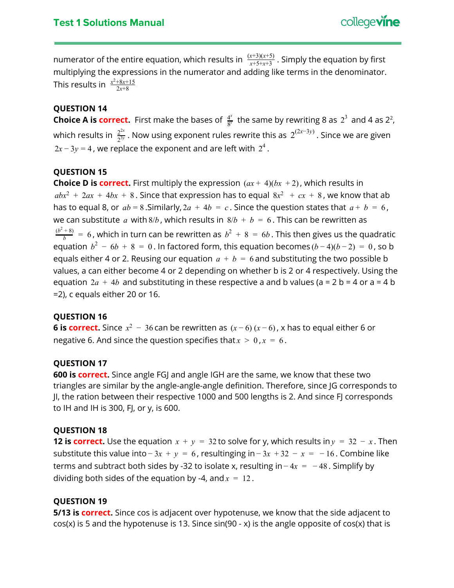numerator of the entire equation, which results in  $\frac{(x+5)(x+5)}{x+5+x+3}$ . Simply the equation by first (*x*+3)(*x*+5) multiplying the expressions in the numerator and adding like terms in the denominator. This results in  $\frac{x^2+8x+15}{2x+8}$ 

## **QUESTION 14**

**Choice A is correct.** First make the bases of  $\frac{4^x}{8^y}$  the same by rewriting 8 as  $2^3$  and 4 as  $2^2$ , which results in  $\frac{2^{2x}}{2^{3y}}$  . Now using exponent rules rewrite this as  $2^{(2x-3y)}$  . Since we are given  $2x - 3y = 4$  , we replace the exponent and are left with  $2^4$  .

## **QUESTION 15**

**Choice D is correct.** First multiply the expression  $(ax + 4)(bx + 2)$ , which results in  $abx^2 + 2ax + 4bx + 8$ . Since that expression has to equal  $8x^2 + cx + 8$ , we know that ab has to equal 8, or  $ab = 8$ . Similarly,  $2a + 4b = c$ . Since the question states that  $a + b = 6$ , we can substitute *a* with 8/*b*, which results in  $8/b + b = 6$ . This can be rewritten as  $\frac{(b^2+8)}{b} = 6$  , which in turn can be rewritten as  $b^2 + 8 = 6b$  . This then gives us the quadratic equation  $b^2 - 6b + 8 = 0$ . In factored form, this equation becomes  $(b-4)(b-2) = 0$ , so b equals either 4 or 2. Reusing our equation  $a + b = 6$  and substituting the two possible b values, a can either become 4 or 2 depending on whether b is 2 or 4 respectively. Using the equation  $2a + 4b$  and substituting in these respective a and b values (a = 2 b = 4 or a = 4 b =2), c equals either 20 or 16.

## **QUESTION 16**

**6** is correct. Since  $x^2 - 36$  can be rewritten as  $(x - 6)(x - 6)$ , x has to equal either 6 or negative 6. And since the question specifies that  $x > 0$ ,  $x = 6$ .

#### **QUESTION 17**

**600 is correct.** Since angle FGJ and angle IGH are the same, we know that these two triangles are similar by the angle-angle-angle definition. Therefore, since JG corresponds to JI, the ration between their respective 1000 and 500 lengths is 2. And since FJ corresponds to IH and IH is 300, FJ, or y, is 600.

#### **QUESTION 18**

**12 is correct.** Use the equation  $x + y = 32$  to solve for y, which results in  $y = 32 - x$ . Then substitute this value into  $-3x + y = 6$ , resultinging in  $-3x + 32 - x = -16$ . Combine like terms and subtract both sides by -32 to isolate x, resulting in  $-4x = -48$ . Simplify by dividing both sides of the equation by -4, and  $x = 12$ .

#### **QUESTION 19**

**5/13 is correct.** Since cos is adjacent over hypotenuse, we know that the side adjacent to cos(x) is 5 and the hypotenuse is 13. Since sin(90 - x) is the angle opposite of cos(x) that is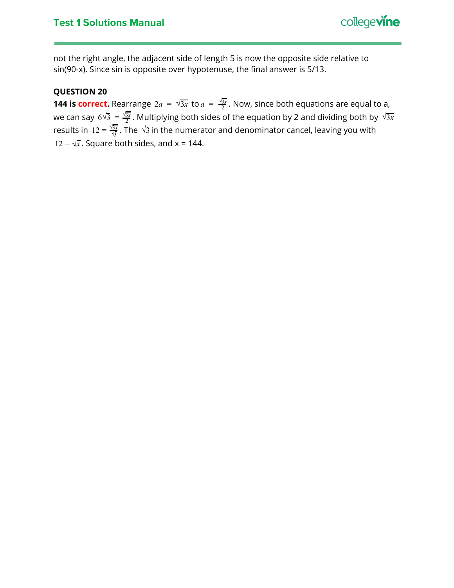

not the right angle, the adjacent side of length 5 is now the opposite side relative to sin(90-x). Since sin is opposite over hypotenuse, the final answer is 5/13.

## **QUESTION 20**

**144 is correct.** Rearrange  $2a = \sqrt{3x}$  to  $a = \frac{\sqrt{3x}}{2}$ . Now, since both equations are equal to a, we can say  $6\sqrt{3} = \frac{\sqrt{3}x}{2}$ . Multiplying both sides of the equation by 2 and dividing both by  $\sqrt{3x}$ results in 12 =  $\frac{\sqrt{3x}}{\sqrt{3}}$ . The  $\sqrt{3}$  in the numerator and denominator cancel, leaving you with  $12 = \sqrt{x}$ . Square both sides, and x = 144.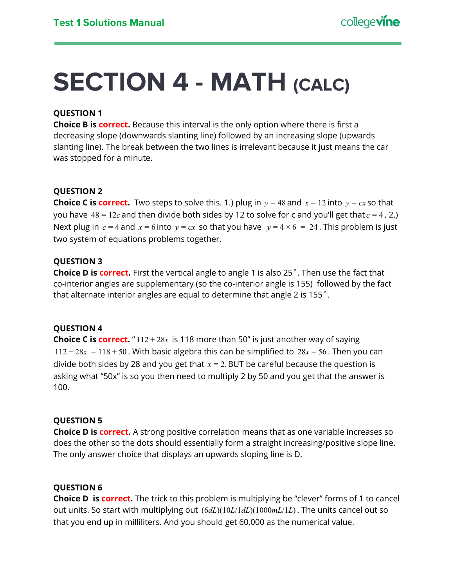## <span id="page-32-0"></span>**SECTION 4 - MATH (CALC)**

## **QUESTION 1**

**Choice B is correct.** Because this interval is the only option where there is first a decreasing slope (downwards slanting line) followed by an increasing slope (upwards slanting line). The break between the two lines is irrelevant because it just means the car was stopped for a minute.

## **QUESTION 2**

**Choice C is correct.** Two steps to solve this. 1.) plug in  $y = 48$  and  $x = 12$  into  $y = cx$  so that you have  $48 = 12c$  and then divide both sides by 12 to solve for c and you'll get that  $c = 4$ . 2.) Next plug in  $c = 4$  and  $x = 6$  into  $y = cx$  so that you have  $y = 4 \times 6 = 24$ . This problem is just two system of equations problems together.

## **QUESTION 3**

**Choice D is correct.** First the vertical angle to angle 1 is also 25˚. Then use the fact that co-interior angles are supplementary (so the co-interior angle is 155) followed by the fact that alternate interior angles are equal to determine that angle 2 is 155˚.

## **QUESTION 4**

**Choice C is correct.** "112 + 28x is 118 more than 50" is just another way of saying  $112 + 28x = 118 + 50$ . With basic algebra this can be simplified to  $28x = 56$ . Then you can divide both sides by 28 and you get that  $x = 2$ . BUT be careful because the question is asking what "50x" is so you then need to multiply 2 by 50 and you get that the answer is 100.

## **QUESTION 5**

**Choice D is correct.** A strong positive correlation means that as one variable increases so does the other so the dots should essentially form a straight increasing/positive slope line. The only answer choice that displays an upwards sloping line is D.

## **QUESTION 6**

**Choice D is correct.** The trick to this problem is multiplying be "clever" forms of 1 to cancel out units. So start with multiplying out (6*dL*)(10*L*/1*dL*)(1000*mL*/1*L*) . The units cancel out so that you end up in milliliters. And you should get 60,000 as the numerical value.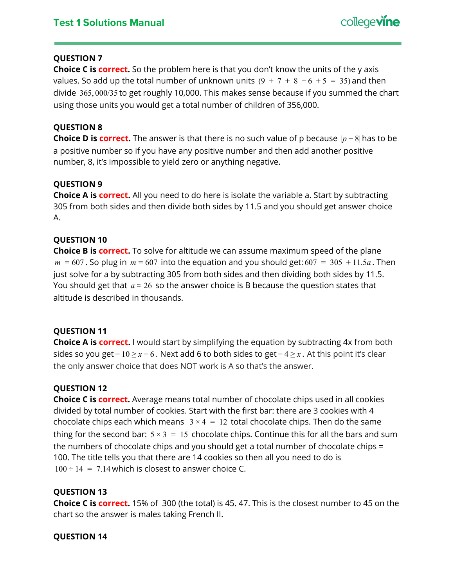**Choice C is correct.** So the problem here is that you don't know the units of the y axis values. So add up the total number of unknown units  $(9 + 7 + 8 + 6 + 5 = 35)$  and then divide 365, 000/35 to get roughly 10,000. This makes sense because if you summed the chart using those units you would get a total number of children of 356,000.

## **QUESTION 8**

**Choice D is correct.** The answer is that there is no such value of p because |*p* − 8| has to be a positive number so if you have any positive number and then add another positive number, 8, it's impossible to yield zero or anything negative.

## **QUESTION 9**

**Choice A is correct.** All you need to do here is isolate the variable a. Start by subtracting 305 from both sides and then divide both sides by 11.5 and you should get answer choice A.

## **QUESTION 10**

**Choice B is correct.** To solve for altitude we can assume maximum speed of the plane  $m = 607$ . So plug in  $m = 607$  into the equation and you should get:  $607 = 305 + 11.5a$ . Then just solve for a by subtracting 305 from both sides and then dividing both sides by 11.5. You should get that  $a \approx 26$  so the answer choice is B because the question states that altitude is described in thousands.

## **QUESTION 11**

**Choice A is correct.** I would start by simplifying the equation by subtracting 4x from both sides so you get − 10 ≥ *x* − 6 . Next add 6 to both sides to get − 4 ≥ *x* . At this point it's clear the only answer choice that does NOT work is A so that's the answer.

## **QUESTION 12**

**Choice C is correct.** Average means total number of chocolate chips used in all cookies divided by total number of cookies. Start with the first bar: there are 3 cookies with 4 chocolate chips each which means  $3 \times 4 = 12$  total chocolate chips. Then do the same thing for the second bar:  $5 \times 3 = 15$  chocolate chips. Continue this for all the bars and sum the numbers of chocolate chips and you should get a total number of chocolate chips = 100. The title tells you that there are 14 cookies so then all you need to do is  $100 \div 14 = 7.14$  which is closest to answer choice C.

## **QUESTION 13**

**Choice C is correct.** 15% of 300 (the total) is 45. 47. This is the closest number to 45 on the chart so the answer is males taking French II.

## **QUESTION 14**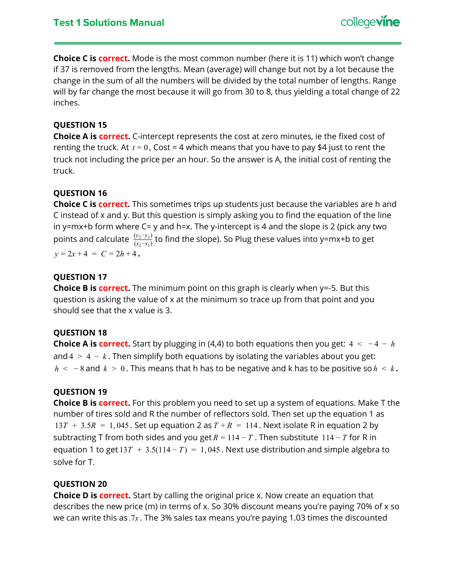**Choice C is correct.** Mode is the most common number (here it is 11) which won't change if 37 is removed from the lengths. Mean (average) will change but not by a lot because the change in the sum of all the numbers will be divided by the total number of lengths. Range will by far change the most because it will go from 30 to 8, thus yielding a total change of 22 inches.

## **QUESTION 15**

**Choice A is correct.** C-intercept represents the cost at zero minutes, ie the fixed cost of renting the truck. At  $t = 0$ , Cost = 4 which means that you have to pay \$4 just to rent the truck not including the price per an hour. So the answer is A, the initial cost of renting the truck.

## **QUESTION 16**

**Choice C is correct.** This sometimes trips up students just because the variables are h and C instead of x and y. But this question is simply asking you to find the equation of the line in y=mx+b form where  $C = y$  and h=x. The y-intercept is 4 and the slope is 2 (pick any two points and calculate  $\frac{(y_2, y_1)}{(x_2 - x_1)}$  to find the slope). So Plug these values into y=mx+b to get  $(y_2 - y_1)$  $y = 2x + 4 = C = 2h + 4$ .

## **QUESTION 17**

**Choice B is correct.** The minimum point on this graph is clearly when y=-5. But this question is asking the value of x at the minimum so trace up from that point and you should see that the x value is 3.

## **QUESTION 18**

**Choice A is correct.** Start by plugging in (4,4) to both equations then you get:  $4 < -4 - h$ and  $4 > 4 - k$ . Then simplify both equations by isolating the variables about you get: *h* < − 8 and *k* > 0 . This means that h has to be negative and k has to be positive so *h* < *k* **.**

## **QUESTION 19**

**Choice B is correct.** For this problem you need to set up a system of equations. Make T the number of tires sold and R the number of reflectors sold. Then set up the equation 1 as  $13T + 3.5R = 1,045$ . Set up equation 2 as  $T + R = 114$ . Next isolate R in equation 2 by subtracting T from both sides and you get  $R = 114 - T$ . Then substitute 114 – T for R in equation 1 to get  $13T + 3.5(114 - T) = 1,045$ . Next use distribution and simple algebra to solve for T.

## **QUESTION 20**

**Choice D is correct.** Start by calling the original price x. Now create an equation that describes the new price (m) in terms of x. So 30% discount means you're paying 70% of x so we can write this as .7*x* . The 3% sales tax means you're paying 1.03 times the discounted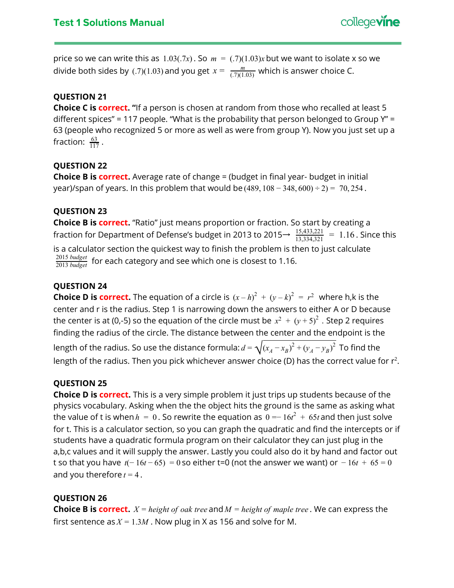price so we can write this as  $1.03(.7x)$ . So  $m = (.7)(1.03)x$  but we want to isolate x so we divide both sides by (.7)(1.03) and you get  $x = \frac{m}{(7)(1.03)}$  which is answer choice C.  $(.7)(1.03)$ 

## **QUESTION 21**

**Choice C is correct. "**If a person is chosen at random from those who recalled at least 5 different spices" = 117 people. "What is the probability that person belonged to Group  $Y'' =$ 63 (people who recognized 5 or more as well as were from group Y). Now you just set up a fraction:  $\frac{63}{117}$ . 117

## **QUESTION 22**

**Choice B is correct.** Average rate of change = (budget in final year- budget in initial year)/span of years. In this problem that would be  $(489, 108 − 348, 600) ÷ 2) = 70,254$ .

## **QUESTION 23**

**Choice B is correct.** "Ratio" just means proportion or fraction. So start by creating a fraction for Department of Defense's budget in 2013 to 2015 $\rightarrow \frac{15,433,221}{13,334,321} = 1.16$  . Since this is a calculator section the quickest way to finish the problem is then to just calculate for each category and see which one is closest to 1.16. 2013 *budget* 2015 *budget*

## **QUESTION 24**

**Choice D is correct.** The equation of a circle is  $(x-h)^2 + (y-k)^2 = r^2$  where h,k is the center and r is the radius. Step 1 is narrowing down the answers to either A or D because the center is at (0,-5) so the equation of the circle must be  $x^2 \, + \, \left(y + 5\right)^2$  . Step 2 requires finding the radius of the circle. The distance between the center and the endpoint is the length of the radius. So use the distance formula:  $d = \sqrt{(x_A - x_B)^2 + (y_A - y_B)^2}$  To find the length of the radius. Then you pick whichever answer choice (D) has the correct value for  $r^2$ .

## **QUESTION 25**

**Choice D is correct.** This is a very simple problem it just trips up students because of the physics vocabulary. Asking when the the object hits the ground is the same as asking what the value of t is when  $h = 0$  . So rewrite the equation as  $0 = -16t^2 + 65t$  and then just solve for t. This is a calculator section, so you can graph the quadratic and find the intercepts or if students have a quadratic formula program on their calculator they can just plug in the a,b,c values and it will supply the answer. Lastly you could also do it by hand and factor out t so that you have  $t(-16t-65) = 0$  so either t=0 (not the answer we want) or  $-16t + 65 = 0$ and you therefore  $t = 4$ .

## **QUESTION 26**

**Choice B is correct.**  $X = height of$  *oak tree* and  $M = height of$  *maple tree*. We can express the first sentence as  $X = 1.3M$ . Now plug in X as 156 and solve for M.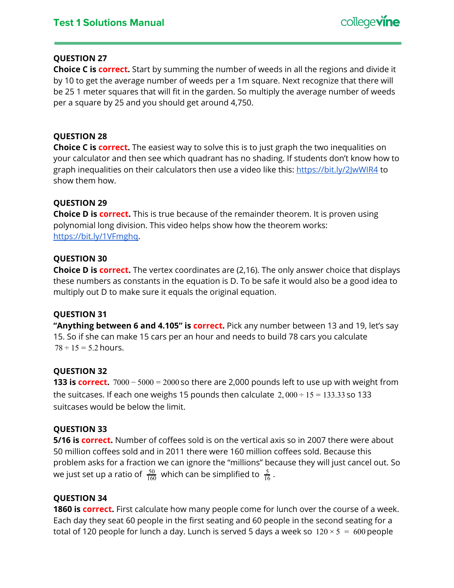**Choice C is correct.** Start by summing the number of weeds in all the regions and divide it by 10 to get the average number of weeds per a 1m square. Next recognize that there will be 25 1 meter squares that will fit in the garden. So multiply the average number of weeds per a square by 25 and you should get around 4,750.

## **QUESTION 28**

**Choice C is correct.** The easiest way to solve this is to just graph the two inequalities on your calculator and then see which quadrant has no shading. If students don't know how to graph inequalities on their calculators then use a video like this: <https://bit.ly/2JwWIR4> to show them how.

## **QUESTION 29**

**Choice D is correct.** This is true because of the remainder theorem. It is proven using polynomial long division. This video helps show how the theorem works: [https://bit.ly/1VFmghq.](https://bit.ly/1VFmghq)

## **QUESTION 30**

**Choice D is correct.** The vertex coordinates are (2,16). The only answer choice that displays these numbers as constants in the equation is D. To be safe it would also be a good idea to multiply out D to make sure it equals the original equation.

## **QUESTION 31**

**"Anything between 6 and 4.105" is correct.** Pick any number between 13 and 19, let's say 15. So if she can make 15 cars per an hour and needs to build 78 cars you calculate  $78 \div 15 = 5.2$  hours.

## **QUESTION 32**

**133 is correct.** 7000 − 5000 = 2000 so there are 2,000 pounds left to use up with weight from the suitcases. If each one weighs 15 pounds then calculate  $2,000 \div 15 = 133.33$  so 133 suitcases would be below the limit.

## **QUESTION 33**

**5/16 is correct.** Number of coffees sold is on the vertical axis so in 2007 there were about 50 million coffees sold and in 2011 there were 160 million coffees sold. Because this problem asks for a fraction we can ignore the "millions" because they will just cancel out. So we just set up a ratio of  $\frac{50}{160}$  which can be simplified to  $\frac{5}{16}$ . 160 5 16

## **QUESTION 34**

**1860 is correct.** First calculate how many people come for lunch over the course of a week. Each day they seat 60 people in the first seating and 60 people in the second seating for a total of 120 people for lunch a day. Lunch is served 5 days a week so  $120 \times 5 = 600$  people